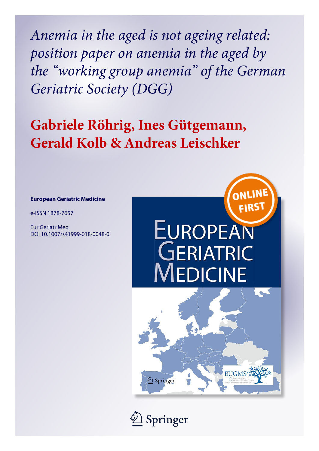*Anemia in the aged is not ageing related: position paper on anemia in the aged by the "working group anemia" of the German Geriatric Society (DGG)*

# **Gabriele Röhrig, Ines Gütgemann, Gerald Kolb & Andreas Leischker**

#### **European Geriatric Medicine**

e-ISSN 1878-7657

Eur Geriatr Med DOI 10.1007/s41999-018-0048-0



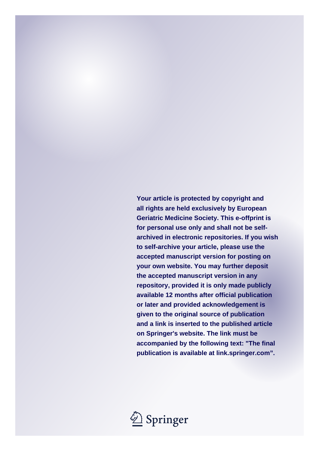**Your article is protected by copyright and all rights are held exclusively by European Geriatric Medicine Society. This e-offprint is for personal use only and shall not be selfarchived in electronic repositories. If you wish to self-archive your article, please use the accepted manuscript version for posting on your own website. You may further deposit the accepted manuscript version in any repository, provided it is only made publicly available 12 months after official publication or later and provided acknowledgement is given to the original source of publication and a link is inserted to the published article on Springer's website. The link must be accompanied by the following text: "The final publication is available at link.springer.com".**

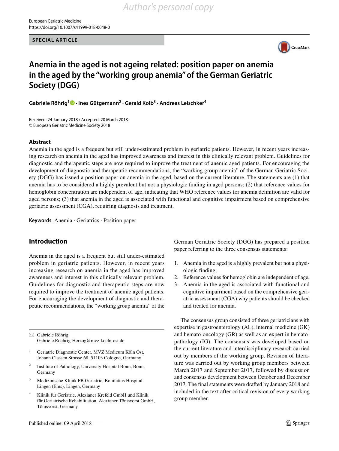**SPECIAL ARTICLE**



# **Anemia in the aged is not ageing related: position paper on anemia in the aged by the "working group anemia" of the German Geriatric Society (DGG)**

**Gabriele Röhrig1 · Ines Gütgemann2 · Gerald Kolb3 · Andreas Leischker4**

Received: 24 January 2018 / Accepted: 20 March 2018 © European Geriatric Medicine Society 2018

#### **Abstract**

Anemia in the aged is a frequent but still under-estimated problem in geriatric patients. However, in recent years increasing research on anemia in the aged has improved awareness and interest in this clinically relevant problem. Guidelines for diagnostic and therapeutic steps are now required to improve the treatment of anemic aged patients. For encouraging the development of diagnostic and therapeutic recommendations, the "working group anemia" of the German Geriatric Society (DGG) has issued a position paper on anemia in the aged, based on the current literature. The statements are (1) that anemia has to be considered a highly prevalent but not a physiologic fnding in aged persons; (2) that reference values for hemoglobin concentration are independent of age, indicating that WHO reference values for anemia defnition are valid for aged persons; (3) that anemia in the aged is associated with functional and cognitive impairment based on comprehensive geriatric assessment (CGA), requiring diagnosis and treatment.

**Keywords** Anemia · Geriatrics · Position paper

### **Introduction**

Anemia in the aged is a frequent but still under-estimated problem in geriatric patients. However, in recent years increasing research on anemia in the aged has improved awareness and interest in this clinically relevant problem. Guidelines for diagnostic and therapeutic steps are now required to improve the treatment of anemic aged patients. For encouraging the development of diagnostic and therapeutic recommendations, the "working group anemia" of the

 $\boxtimes$  Gabriele Röhrig Gabriele.Roehrig-Herzog@mvz-koeln-ost.de

- <sup>1</sup> Geriatric Diagnostic Center, MVZ Medicum Köln Ost, Johann Classen Strasse 68, 51103 Cologne, Germany
- <sup>2</sup> Institute of Pathology, University Hospital Bonn, Bonn, Germany
- <sup>3</sup> Medizinische Klinik FB Geriatrie, Bonifatius Hospital Lingen (Ems), Lingen, Germany
- <sup>4</sup> Klinik für Geriatrie, Alexianer Krefeld GmbH und Klinik für Geriatrische Rehabilitation, Alexianer Tönisvorst GmbH, Tönisvorst, Germany

German Geriatric Society (DGG) has prepared a position paper referring to the three consensus statements:

- 1. Anemia in the aged is a highly prevalent but not a physiologic fnding,
- 2. Reference values for hemoglobin are independent of age,
- 3. Anemia in the aged is associated with functional and cognitive impairment based on the comprehensive geriatric assessment (CGA) why patients should be checked and treated for anemia.

The consensus group consisted of three geriatricians with expertise in gastroenterology (AL), internal medicine (GK) and hemato-oncology (GR) as well as an expert in hematopathology (IG). The consensus was developed based on the current literature and interdisciplinary research carried out by members of the working group. Revision of literature was carried out by working group members between March 2017 and September 2017, followed by discussion and consensus development between October and December 2017. The fnal statements were drafted by January 2018 and included in the text after critical revision of every working group member.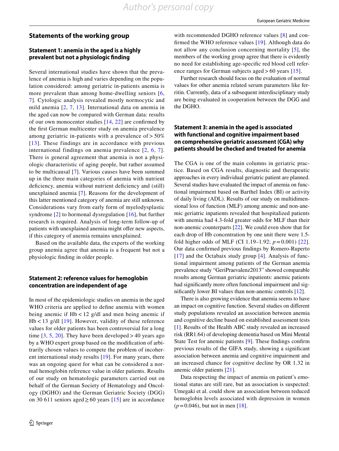#### **Statements of the working group**

#### **Statement 1: anemia in the aged is a highly prevalent but not a physiologic fnding**

Several international studies have shown that the prevalence of anemia is high and varies depending on the population considered: among geriatric in-patients anemia is more prevalent than among home-dwelling seniors [[6,](#page-4-0) [7](#page-4-1)]. Cytologic analysis revealed mostly normocytic and mild anemia [[2](#page-4-2), [7,](#page-4-1) [13](#page-4-3)]. International data on anemia in the aged can now be compared with German data: results of our own monocenter studies [\[14,](#page-4-4) [22](#page-4-5)] are confrmed by the frst German multicenter study on anemia prevalence among geriatric in-patients with a prevalence of  $> 50\%$ [[13\]](#page-4-3). These findings are in accordance with previous international findings on anemia prevalence [[2,](#page-4-2) [6,](#page-4-0) [7\]](#page-4-1). There is general agreement that anemia is not a physiologic characteristic of aging people, but rather assumed to be multicausal [[7\]](#page-4-1). Various causes have been summed up in the three main categories of anemia with nutrient deficiency, anemia without nutrient deficiency and (still) unexplained anemia [\[7\]](#page-4-1). Reasons for the development of this latter mentioned category of anemia are still unknown. Considerations vary from early form of myelodysplastic syndrome [[2](#page-4-2)] to hormonal dysregulation [\[16\]](#page-4-6), but further research is required. Analysis of long-term follow-up of patients with unexplained anemia might offer new aspects, if this category of anemia remains unexplained.

Based on the available data, the experts of the working group anemia agree that anemia is a frequent but not a physiologic fnding in older people.

#### **Statement 2: reference values for hemoglobin concentration are independent of age**

In most of the epidemiologic studies on anemia in the aged WHO criteria are applied to defne anemia with women being anemic if Hb < 12 g/dl and men being anemic if  $Hb < 13$  g/dl  $[19]$  $[19]$  $[19]$ . However, validity of these reference values for older patients has been controversial for a long time  $[3, 5, 20]$  $[3, 5, 20]$  $[3, 5, 20]$  $[3, 5, 20]$  $[3, 5, 20]$  $[3, 5, 20]$  $[3, 5, 20]$ . They have been developed > 40 years ago by a WHO expert group based on the modifcation of arbitrarily chosen values to compete the problem of incoherent international study results [\[19\]](#page-4-7). For many years, there was an ongoing quest for what can be considered a normal hemoglobin reference value in older patients. Results of our study on hematologic parameters carried out on behalf of the German Society of Hematology and Oncology (DGHO) and the German Geriatric Society (DGG) on 30 611 seniors aged≥60 years [[15\]](#page-4-11) are in accordance

with recommended DGHO reference values [\[8\]](#page-4-12) and confrmed the WHO reference values [[19\]](#page-4-7). Although data do not allow any conclusion concerning mortality [\[5\]](#page-4-9), the members of the working group agree that there is evidently no need for establishing age-specifc red blood cell reference ranges for German subjects aged  $> 60$  years [[15\]](#page-4-11).

Further research should focus on the evaluation of normal values for other anemia related serum parameters like ferritin. Currently, data of a subsequent interdisciplinary study are being evaluated in cooperation between the DGG and the DGHO.

#### **Statement 3: anemia in the aged is associated with functional and cognitive impairment based on comprehensive geriatric assessment (CGA) why patients should be checked and treated for anemia**

The CGA is one of the main columns in geriatric practice. Based on CGA results, diagnostic and therapeutic approaches in every individual geriatric patient are planned. Several studies have evaluated the impact of anemia on functional impairment based on Barthel Index (BI) or activity of daily living (ADL). Results of our study on multidimensional loss of function (MLF) among anemic and non-anemic geriatric inpatients revealed that hospitalized patients with anemia had 4.3-fold greater odds for MLF than their non-anemic counterparts [\[22](#page-4-5)]. We could even show that for each drop of Hb concentration by one unit there were 1.5 fold higher odds of MLF (CI 1.19–1.92; *p*=0.001) [[22](#page-4-5)]. Our data confrmed previous fndings by Romero-Ruperto [[17\]](#page-4-13) and the Octabaix study group [\[4](#page-4-14)]. Analysis of functional impairment among patients of the German anemia prevalence study "GeriPraevalenz2013" showed comparable results among German geriatric inpatients: anemic patients had signifcantly more often functional impairment and signifcantly lower BI values than non-anemic controls [[12\]](#page-4-15).

There is also growing evidence that anemia seems to have an impact on cognitive function. Several studies on diferent study populations revealed an association between anemia and cognitive decline based on established assessment tests [[1\]](#page-4-16). Results of the Health ABC study revealed an increased risk (RR1.64) of developing dementia based on Mini Mental State Test for anemic patients [[9](#page-4-17)]. These fndings confrm previous results of the GIFA study, showing a signifcant association between anemia and cognitive impairment and an increased chance for cognitive decline by OR 1.32 in anemic older patients [\[21](#page-4-18)].

Data respecting the impact of anemia on patient's emotional status are still rare, but an association is suspected: Umegaki et al. could show an association between reduced hemoglobin levels associated with depression in women  $(p=0.046)$ , but not in men [\[18](#page-4-19)].